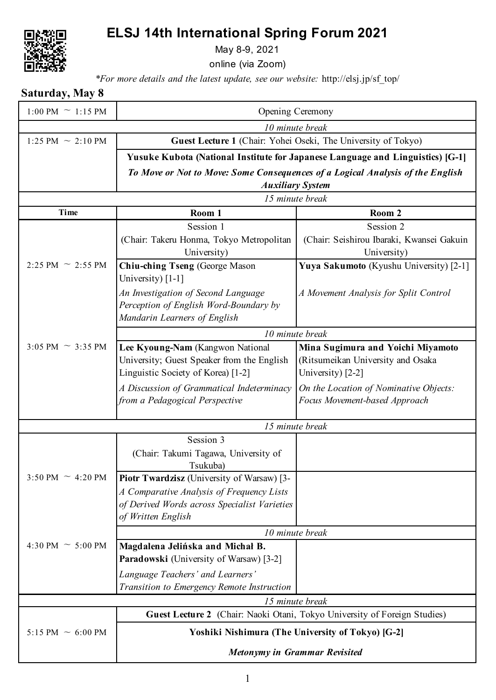## **ELSJ 14th International Spring Forum 2021**



May 8-9, 2021

online (via Zoom)

*\*For more details and the latest update, see our website:* http://elsj.jp/sf\_top/

**Saturday, May 8**

| $1:00 \text{ PM} \sim 1:15 \text{ PM}$ | Opening Ceremony                                                                             |                                                                                |  |
|----------------------------------------|----------------------------------------------------------------------------------------------|--------------------------------------------------------------------------------|--|
| 10 minute break                        |                                                                                              |                                                                                |  |
| 1:25 PM $\sim$ 2:10 PM                 | Guest Lecture 1 (Chair: Yohei Oseki, The University of Tokyo)                                |                                                                                |  |
|                                        |                                                                                              | Yusuke Kubota (National Institute for Japanese Language and Linguistics) [G-1] |  |
|                                        | To Move or Not to Move: Some Consequences of a Logical Analysis of the English               |                                                                                |  |
|                                        | <b>Auxiliary System</b>                                                                      |                                                                                |  |
|                                        | 15 minute break                                                                              |                                                                                |  |
| Time                                   | Room 1                                                                                       | Room 2                                                                         |  |
|                                        | Session 1                                                                                    | Session 2                                                                      |  |
|                                        | (Chair: Takeru Honma, Tokyo Metropolitan                                                     | (Chair: Seishirou Ibaraki, Kwansei Gakuin                                      |  |
|                                        | University)                                                                                  | University)                                                                    |  |
| 2:25 PM $\sim$ 2:55 PM                 | Chiu-ching Tseng (George Mason<br>University) [1-1]                                          | Yuya Sakumoto (Kyushu University) [2-1]                                        |  |
|                                        | An Investigation of Second Language                                                          | A Movement Analysis for Split Control                                          |  |
|                                        | Perception of English Word-Boundary by                                                       |                                                                                |  |
|                                        | Mandarin Learners of English                                                                 |                                                                                |  |
|                                        | 10 minute break                                                                              |                                                                                |  |
| 3:05 PM $\sim$ 3:35 PM                 | Lee Kyoung-Nam (Kangwon National                                                             | Mina Sugimura and Yoichi Miyamoto                                              |  |
|                                        | University; Guest Speaker from the English                                                   | (Ritsumeikan University and Osaka                                              |  |
|                                        | Linguistic Society of Korea) [1-2]                                                           | University) [2-2]                                                              |  |
|                                        | A Discussion of Grammatical Indeterminacy                                                    | On the Location of Nominative Objects:                                         |  |
|                                        | from a Pedagogical Perspective                                                               | Focus Movement-based Approach                                                  |  |
| 15 minute break                        |                                                                                              |                                                                                |  |
|                                        | Session 3                                                                                    |                                                                                |  |
|                                        | (Chair: Takumi Tagawa, University of                                                         |                                                                                |  |
|                                        | Tsukuba)                                                                                     |                                                                                |  |
| 3:50 PM $\sim$ 4:20 PM                 | Piotr Twardzisz (University of Warsaw) [3-                                                   |                                                                                |  |
|                                        | A Comparative Analysis of Frequency Lists                                                    |                                                                                |  |
|                                        | of Derived Words across Specialist Varieties<br>of Written English                           |                                                                                |  |
|                                        |                                                                                              |                                                                                |  |
|                                        | 10 minute break                                                                              |                                                                                |  |
| 4:30 PM $\sim$ 5:00 PM                 | Magdalena Jelińska and Michał B.<br>Paradowski (University of Warsaw) [3-2]                  |                                                                                |  |
|                                        |                                                                                              |                                                                                |  |
|                                        | Language Teachers' and Learners'<br>Transition to Emergency Remote Instruction               |                                                                                |  |
|                                        |                                                                                              |                                                                                |  |
|                                        | 15 minute break<br>Guest Lecture 2 (Chair: Naoki Otani, Tokyo University of Foreign Studies) |                                                                                |  |
|                                        |                                                                                              |                                                                                |  |
| 5:15 PM $\sim$ 6:00 PM                 | Yoshiki Nishimura (The University of Tokyo) [G-2]                                            |                                                                                |  |
|                                        | <b>Metonymy in Grammar Revisited</b>                                                         |                                                                                |  |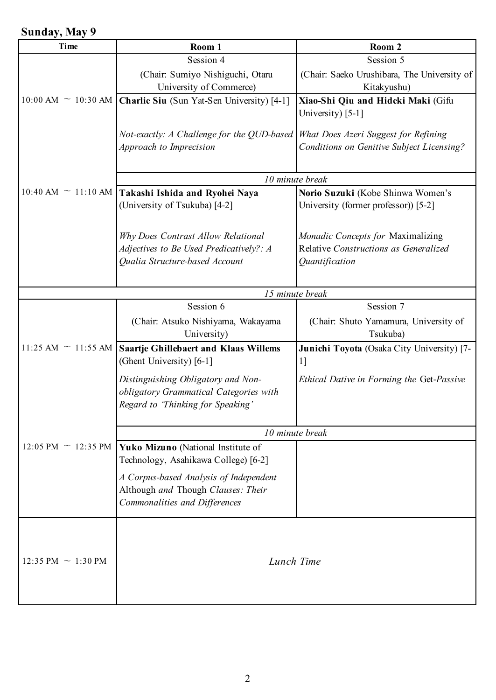## **Sunday, May 9**

| Time                       | Room 1                                                                                                            | Room 2                                                                                       |
|----------------------------|-------------------------------------------------------------------------------------------------------------------|----------------------------------------------------------------------------------------------|
|                            | Session 4                                                                                                         | Session 5                                                                                    |
|                            | (Chair: Sumiyo Nishiguchi, Otaru<br>University of Commerce)                                                       | (Chair: Saeko Urushibara, The University of<br>Kitakyushu)                                   |
| $10:00$ AM $\sim 10:30$ AM | Charlie Siu (Sun Yat-Sen University) [4-1]                                                                        | Xiao-Shi Qiu and Hideki Maki (Gifu<br>University) [5-1]                                      |
|                            | Not-exactly: A Challenge for the QUD-based<br>Approach to Imprecision                                             | What Does Azeri Suggest for Refining<br>Conditions on Genitive Subject Licensing?            |
|                            |                                                                                                                   | 10 minute break                                                                              |
| $10:40$ AM $\sim 11:10$ AM | Takashi Ishida and Ryohei Naya<br>(University of Tsukuba) [4-2]                                                   | Norio Suzuki (Kobe Shinwa Women's<br>University (former professor)) [5-2]                    |
|                            | Why Does Contrast Allow Relational<br>Adjectives to Be Used Predicatively?: A<br>Qualia Structure-based Account   | Monadic Concepts for Maximalizing<br>Relative Constructions as Generalized<br>Quantification |
|                            |                                                                                                                   | 15 minute break                                                                              |
|                            | Session 6                                                                                                         | Session 7                                                                                    |
|                            | (Chair: Atsuko Nishiyama, Wakayama<br>University)                                                                 | (Chair: Shuto Yamamura, University of<br>Tsukuba)                                            |
| 11:25 AM $\sim$ 11:55 AM   | Saartje Ghillebaert and Klaas Willems<br>(Ghent University) [6-1]                                                 | Junichi Toyota (Osaka City University) [7-<br>$1$ ]                                          |
|                            | Distinguishing Obligatory and Non-<br>obligatory Grammatical Categories with<br>Regard to 'Thinking for Speaking' | Ethical Dative in Forming the Get-Passive                                                    |
|                            | 10 minute break                                                                                                   |                                                                                              |
| 12:05 PM $\sim$ 12:35 PM   | Yuko Mizuno (National Institute of<br>Technology, Asahikawa College) [6-2]                                        |                                                                                              |
|                            | A Corpus-based Analysis of Independent<br>Although and Though Clauses: Their<br>Commonalities and Differences     |                                                                                              |
|                            |                                                                                                                   |                                                                                              |
| 12:35 PM $\sim$ 1:30 PM    | Lunch Time                                                                                                        |                                                                                              |